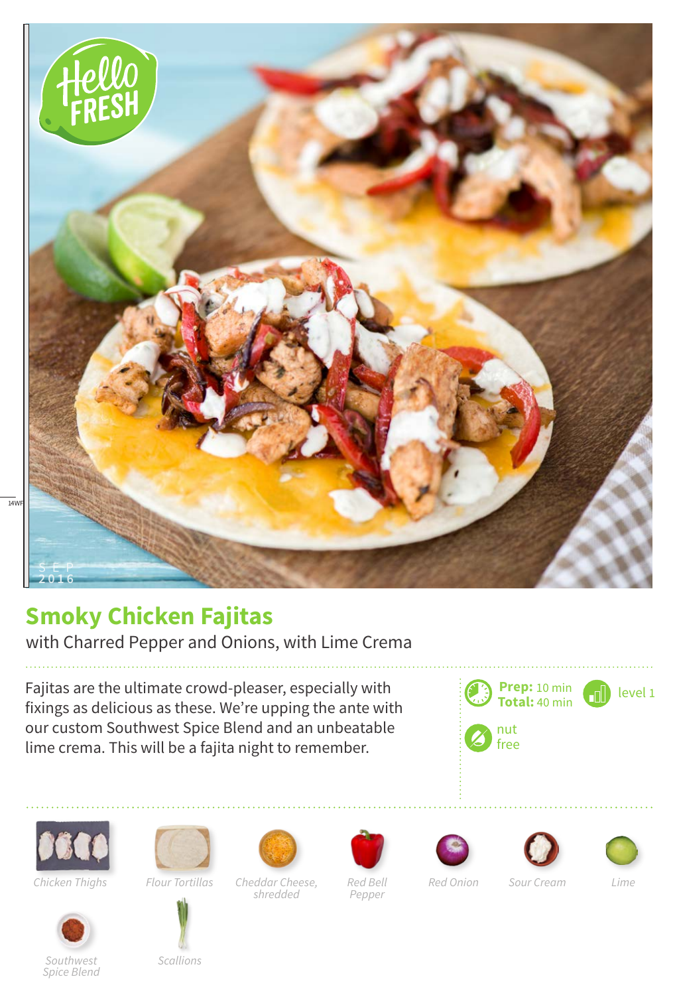

## **Smoky Chicken Fajitas**

with Charred Pepper and Onions, with Lime Crema

Fajitas are the ultimate crowd-pleaser, especially with fixings as delicious as these. We're upping the ante with our custom Southwest Spice Blend and an unbeatable lime crema. This will be a fajita night to remember.





*Chicken Thighs*





*Scallions*

*Cheddar Cheese, Flour Tortillas Red Onion Sour Cream Lime shredded*



*Red Bell Pepper*